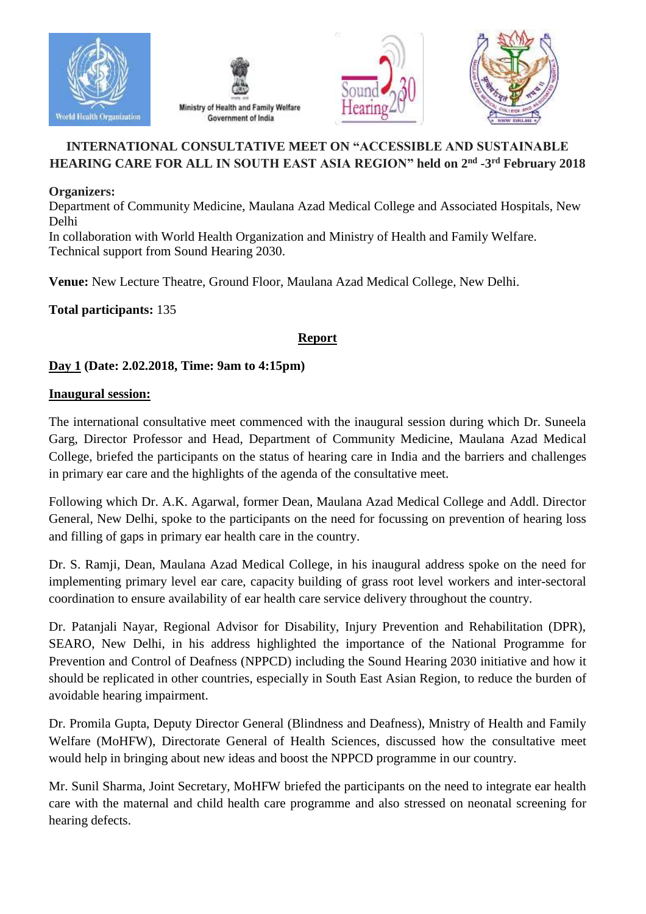







# **INTERNATIONAL CONSULTATIVE MEET ON "ACCESSIBLE AND SUSTAINABLE HEARING CARE FOR ALL IN SOUTH EAST ASIA REGION" held on 2nd -3 rd February 2018**

### **Organizers:**

Department of Community Medicine, Maulana Azad Medical College and Associated Hospitals, New Delhi

In collaboration with World Health Organization and Ministry of Health and Family Welfare. Technical support from Sound Hearing 2030.

**Venue:** New Lecture Theatre, Ground Floor, Maulana Azad Medical College, New Delhi.

**Total participants:** 135

## **Report**

## **Day 1 (Date: 2.02.2018, Time: 9am to 4:15pm)**

#### **Inaugural session:**

The international consultative meet commenced with the inaugural session during which Dr. Suneela Garg, Director Professor and Head, Department of Community Medicine, Maulana Azad Medical College, briefed the participants on the status of hearing care in India and the barriers and challenges in primary ear care and the highlights of the agenda of the consultative meet.

Following which Dr. A.K. Agarwal, former Dean, Maulana Azad Medical College and Addl. Director General, New Delhi, spoke to the participants on the need for focussing on prevention of hearing loss and filling of gaps in primary ear health care in the country.

Dr. S. Ramji, Dean, Maulana Azad Medical College, in his inaugural address spoke on the need for implementing primary level ear care, capacity building of grass root level workers and inter-sectoral coordination to ensure availability of ear health care service delivery throughout the country.

Dr. Patanjali Nayar, Regional Advisor for Disability, Injury Prevention and Rehabilitation (DPR), SEARO, New Delhi, in his address highlighted the importance of the National Programme for Prevention and Control of Deafness (NPPCD) including the Sound Hearing 2030 initiative and how it should be replicated in other countries, especially in South East Asian Region, to reduce the burden of avoidable hearing impairment.

Dr. Promila Gupta, Deputy Director General (Blindness and Deafness), Mnistry of Health and Family Welfare (MoHFW), Directorate General of Health Sciences, discussed how the consultative meet would help in bringing about new ideas and boost the NPPCD programme in our country.

Mr. Sunil Sharma, Joint Secretary, MoHFW briefed the participants on the need to integrate ear health care with the maternal and child health care programme and also stressed on neonatal screening for hearing defects.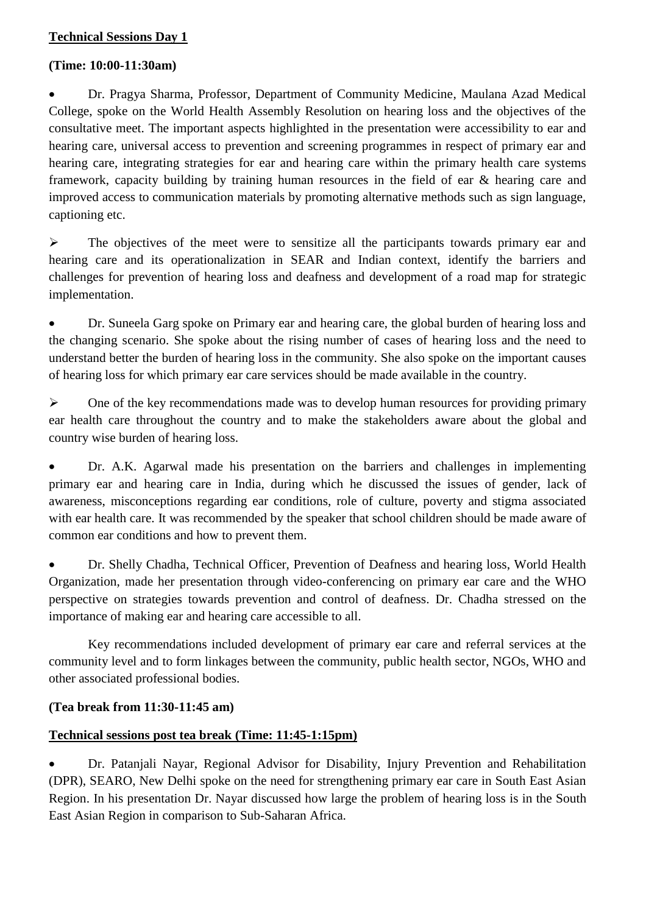### **Technical Sessions Day 1**

#### **(Time: 10:00-11:30am)**

 Dr. Pragya Sharma, Professor, Department of Community Medicine, Maulana Azad Medical College, spoke on the World Health Assembly Resolution on hearing loss and the objectives of the consultative meet. The important aspects highlighted in the presentation were accessibility to ear and hearing care, universal access to prevention and screening programmes in respect of primary ear and hearing care, integrating strategies for ear and hearing care within the primary health care systems framework, capacity building by training human resources in the field of ear & hearing care and improved access to communication materials by promoting alternative methods such as sign language, captioning etc.

 $\triangleright$  The objectives of the meet were to sensitize all the participants towards primary ear and hearing care and its operationalization in SEAR and Indian context, identify the barriers and challenges for prevention of hearing loss and deafness and development of a road map for strategic implementation.

 Dr. Suneela Garg spoke on Primary ear and hearing care, the global burden of hearing loss and the changing scenario. She spoke about the rising number of cases of hearing loss and the need to understand better the burden of hearing loss in the community. She also spoke on the important causes of hearing loss for which primary ear care services should be made available in the country.

 $\triangleright$  One of the key recommendations made was to develop human resources for providing primary ear health care throughout the country and to make the stakeholders aware about the global and country wise burden of hearing loss.

 Dr. A.K. Agarwal made his presentation on the barriers and challenges in implementing primary ear and hearing care in India, during which he discussed the issues of gender, lack of awareness, misconceptions regarding ear conditions, role of culture, poverty and stigma associated with ear health care. It was recommended by the speaker that school children should be made aware of common ear conditions and how to prevent them.

 Dr. Shelly Chadha, Technical Officer, Prevention of Deafness and hearing loss, World Health Organization, made her presentation through video-conferencing on primary ear care and the WHO perspective on strategies towards prevention and control of deafness. Dr. Chadha stressed on the importance of making ear and hearing care accessible to all.

Key recommendations included development of primary ear care and referral services at the community level and to form linkages between the community, public health sector, NGOs, WHO and other associated professional bodies.

### **(Tea break from 11:30-11:45 am)**

### **Technical sessions post tea break (Time: 11:45-1:15pm)**

 Dr. Patanjali Nayar, Regional Advisor for Disability, Injury Prevention and Rehabilitation (DPR), SEARO, New Delhi spoke on the need for strengthening primary ear care in South East Asian Region. In his presentation Dr. Nayar discussed how large the problem of hearing loss is in the South East Asian Region in comparison to Sub-Saharan Africa.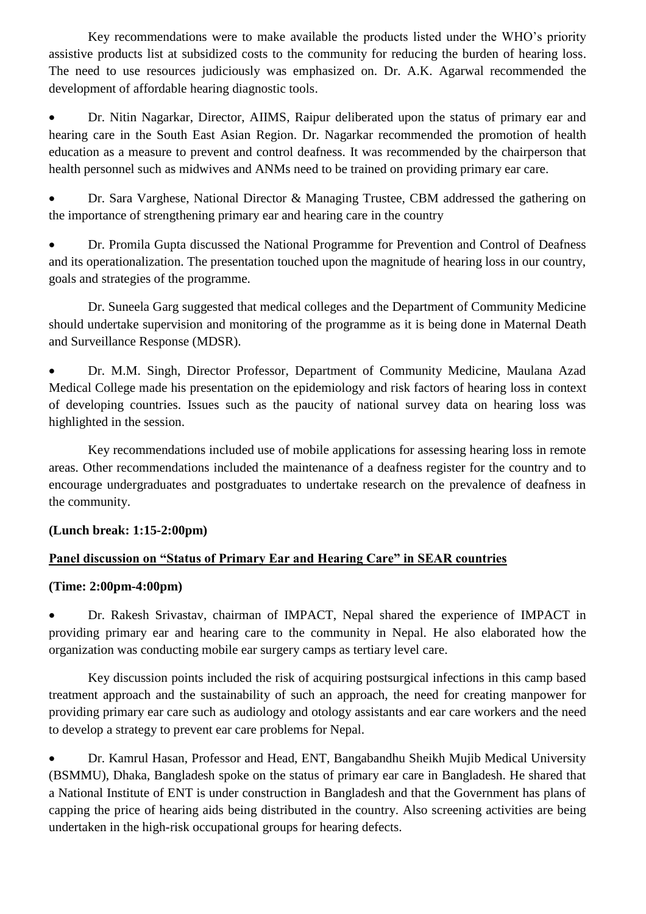Key recommendations were to make available the products listed under the WHO's priority assistive products list at subsidized costs to the community for reducing the burden of hearing loss. The need to use resources judiciously was emphasized on. Dr. A.K. Agarwal recommended the development of affordable hearing diagnostic tools.

 Dr. Nitin Nagarkar, Director, AIIMS, Raipur deliberated upon the status of primary ear and hearing care in the South East Asian Region. Dr. Nagarkar recommended the promotion of health education as a measure to prevent and control deafness. It was recommended by the chairperson that health personnel such as midwives and ANMs need to be trained on providing primary ear care.

 Dr. Sara Varghese, National Director & Managing Trustee, CBM addressed the gathering on the importance of strengthening primary ear and hearing care in the country

 Dr. Promila Gupta discussed the National Programme for Prevention and Control of Deafness and its operationalization. The presentation touched upon the magnitude of hearing loss in our country, goals and strategies of the programme.

Dr. Suneela Garg suggested that medical colleges and the Department of Community Medicine should undertake supervision and monitoring of the programme as it is being done in Maternal Death and Surveillance Response (MDSR).

 Dr. M.M. Singh, Director Professor, Department of Community Medicine, Maulana Azad Medical College made his presentation on the epidemiology and risk factors of hearing loss in context of developing countries. Issues such as the paucity of national survey data on hearing loss was highlighted in the session.

Key recommendations included use of mobile applications for assessing hearing loss in remote areas. Other recommendations included the maintenance of a deafness register for the country and to encourage undergraduates and postgraduates to undertake research on the prevalence of deafness in the community.

## **(Lunch break: 1:15-2:00pm)**

## **Panel discussion on "Status of Primary Ear and Hearing Care" in SEAR countries**

### **(Time: 2:00pm-4:00pm)**

 Dr. Rakesh Srivastav, chairman of IMPACT, Nepal shared the experience of IMPACT in providing primary ear and hearing care to the community in Nepal. He also elaborated how the organization was conducting mobile ear surgery camps as tertiary level care.

Key discussion points included the risk of acquiring postsurgical infections in this camp based treatment approach and the sustainability of such an approach, the need for creating manpower for providing primary ear care such as audiology and otology assistants and ear care workers and the need to develop a strategy to prevent ear care problems for Nepal.

 Dr. Kamrul Hasan, Professor and Head, ENT, Bangabandhu Sheikh Mujib Medical University (BSMMU), Dhaka, Bangladesh spoke on the status of primary ear care in Bangladesh. He shared that a National Institute of ENT is under construction in Bangladesh and that the Government has plans of capping the price of hearing aids being distributed in the country. Also screening activities are being undertaken in the high-risk occupational groups for hearing defects.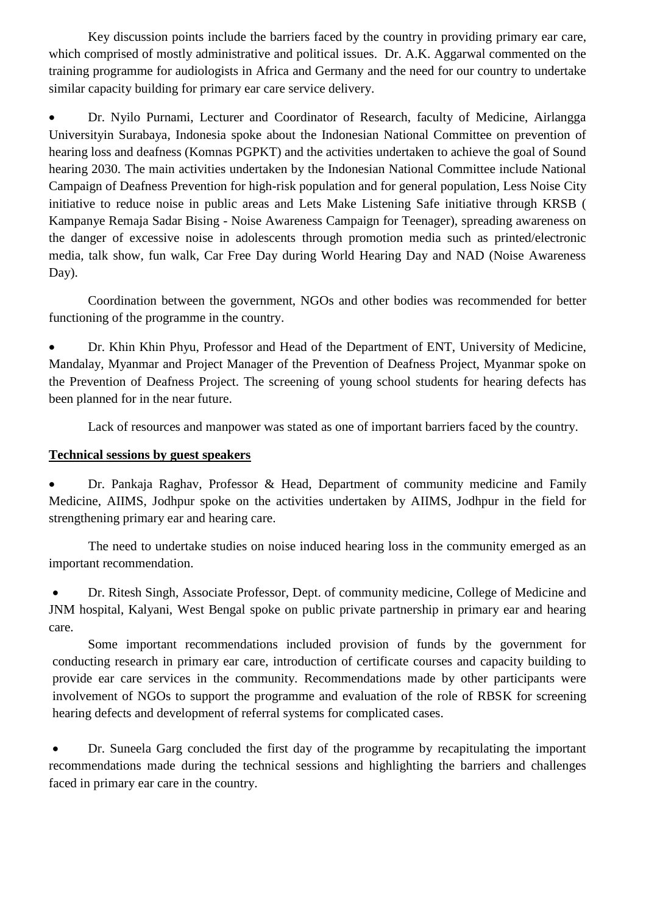Key discussion points include the barriers faced by the country in providing primary ear care, which comprised of mostly administrative and political issues. Dr. A.K. Aggarwal commented on the training programme for audiologists in Africa and Germany and the need for our country to undertake similar capacity building for primary ear care service delivery.

 Dr. Nyilo Purnami, Lecturer and Coordinator of Research, faculty of Medicine, Airlangga Universityin Surabaya, Indonesia spoke about the Indonesian National Committee on prevention of hearing loss and deafness (Komnas PGPKT) and the activities undertaken to achieve the goal of Sound hearing 2030. The main activities undertaken by the Indonesian National Committee include National Campaign of Deafness Prevention for high-risk population and for general population, Less Noise City initiative to reduce noise in public areas and Lets Make Listening Safe initiative through KRSB ( Kampanye Remaja Sadar Bising - Noise Awareness Campaign for Teenager), spreading awareness on the danger of excessive noise in adolescents through promotion media such as printed/electronic media, talk show, fun walk, Car Free Day during World Hearing Day and NAD (Noise Awareness Day).

Coordination between the government, NGOs and other bodies was recommended for better functioning of the programme in the country.

 Dr. Khin Khin Phyu, Professor and Head of the Department of ENT, University of Medicine, Mandalay, Myanmar and Project Manager of the Prevention of Deafness Project, Myanmar spoke on the Prevention of Deafness Project. The screening of young school students for hearing defects has been planned for in the near future.

Lack of resources and manpower was stated as one of important barriers faced by the country.

### **Technical sessions by guest speakers**

 Dr. Pankaja Raghav, Professor & Head, Department of community medicine and Family Medicine, AIIMS, Jodhpur spoke on the activities undertaken by AIIMS, Jodhpur in the field for strengthening primary ear and hearing care.

 The need to undertake studies on noise induced hearing loss in the community emerged as an important recommendation.

 Dr. Ritesh Singh, Associate Professor, Dept. of community medicine, College of Medicine and JNM hospital, Kalyani, West Bengal spoke on public private partnership in primary ear and hearing care.

Some important recommendations included provision of funds by the government for conducting research in primary ear care, introduction of certificate courses and capacity building to provide ear care services in the community. Recommendations made by other participants were involvement of NGOs to support the programme and evaluation of the role of RBSK for screening hearing defects and development of referral systems for complicated cases.

 Dr. Suneela Garg concluded the first day of the programme by recapitulating the important recommendations made during the technical sessions and highlighting the barriers and challenges faced in primary ear care in the country.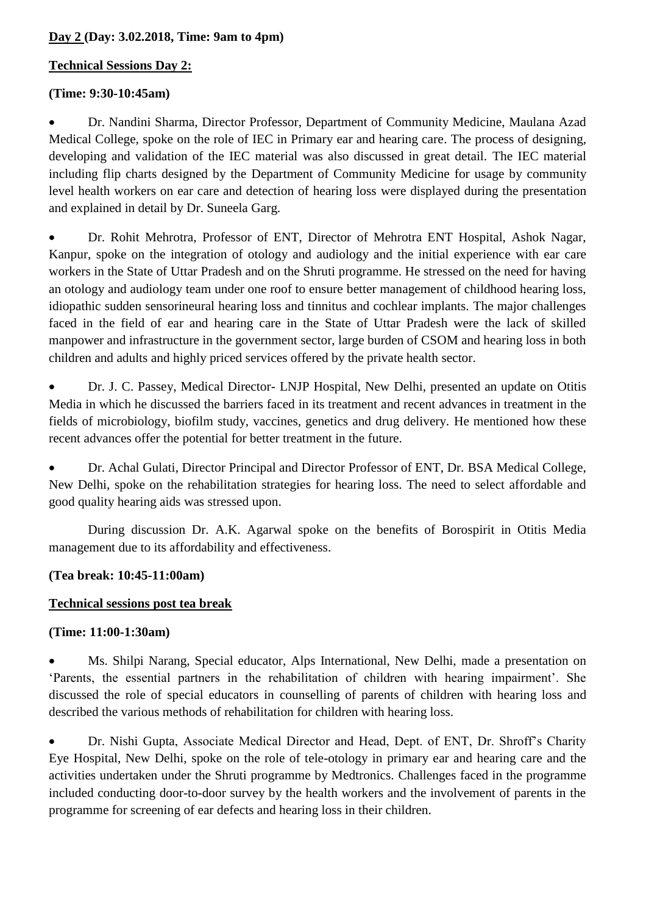### **Day 2 (Day: 3.02.2018, Time: 9am to 4pm)**

### **Technical Sessions Day 2:**

### **(Time: 9:30-10:45am)**

 Dr. Nandini Sharma, Director Professor, Department of Community Medicine, Maulana Azad Medical College, spoke on the role of IEC in Primary ear and hearing care. The process of designing, developing and validation of the IEC material was also discussed in great detail. The IEC material including flip charts designed by the Department of Community Medicine for usage by community level health workers on ear care and detection of hearing loss were displayed during the presentation and explained in detail by Dr. Suneela Garg.

 Dr. Rohit Mehrotra, Professor of ENT, Director of Mehrotra ENT Hospital, Ashok Nagar, Kanpur, spoke on the integration of otology and audiology and the initial experience with ear care workers in the State of Uttar Pradesh and on the Shruti programme. He stressed on the need for having an otology and audiology team under one roof to ensure better management of childhood hearing loss, idiopathic sudden sensorineural hearing loss and tinnitus and cochlear implants. The major challenges faced in the field of ear and hearing care in the State of Uttar Pradesh were the lack of skilled manpower and infrastructure in the government sector, large burden of CSOM and hearing loss in both children and adults and highly priced services offered by the private health sector.

 Dr. J. C. Passey, Medical Director- LNJP Hospital, New Delhi, presented an update on Otitis Media in which he discussed the barriers faced in its treatment and recent advances in treatment in the fields of microbiology, biofilm study, vaccines, genetics and drug delivery. He mentioned how these recent advances offer the potential for better treatment in the future.

 Dr. Achal Gulati, Director Principal and Director Professor of ENT, Dr. BSA Medical College, New Delhi, spoke on the rehabilitation strategies for hearing loss. The need to select affordable and good quality hearing aids was stressed upon.

During discussion Dr. A.K. Agarwal spoke on the benefits of Borospirit in Otitis Media management due to its affordability and effectiveness.

### **(Tea break: 10:45-11:00am)**

### **Technical sessions post tea break**

## **(Time: 11:00-1:30am)**

 Ms. Shilpi Narang, Special educator, Alps International, New Delhi, made a presentation on 'Parents, the essential partners in the rehabilitation of children with hearing impairment'. She discussed the role of special educators in counselling of parents of children with hearing loss and described the various methods of rehabilitation for children with hearing loss.

 Dr. Nishi Gupta, Associate Medical Director and Head, Dept. of ENT, Dr. Shroff's Charity Eye Hospital, New Delhi, spoke on the role of tele-otology in primary ear and hearing care and the activities undertaken under the Shruti programme by Medtronics. Challenges faced in the programme included conducting door-to-door survey by the health workers and the involvement of parents in the programme for screening of ear defects and hearing loss in their children.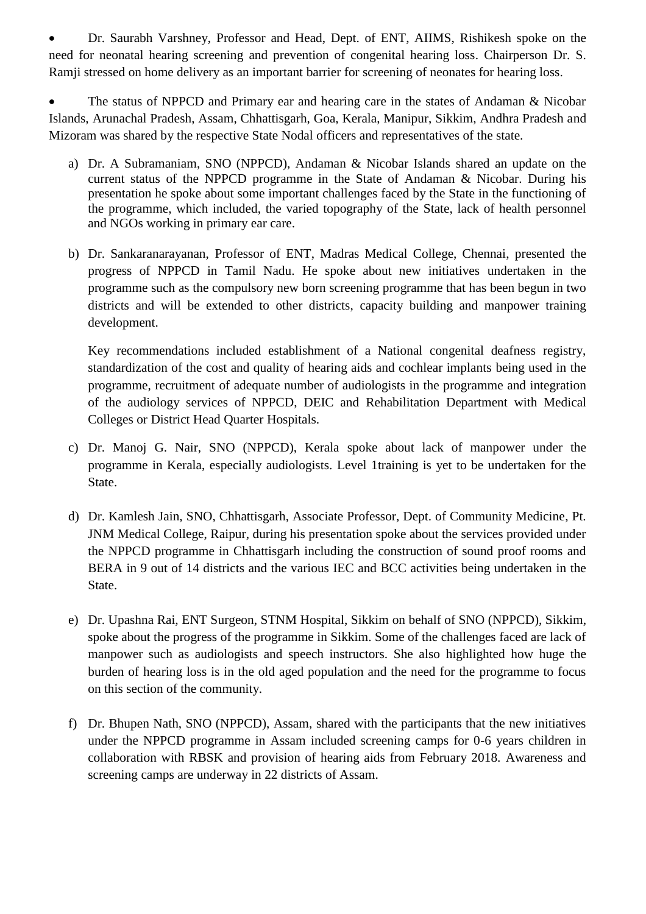Dr. Saurabh Varshney, Professor and Head, Dept. of ENT, AIIMS, Rishikesh spoke on the need for neonatal hearing screening and prevention of congenital hearing loss. Chairperson Dr. S. Ramji stressed on home delivery as an important barrier for screening of neonates for hearing loss.

 The status of NPPCD and Primary ear and hearing care in the states of Andaman & Nicobar Islands, Arunachal Pradesh, Assam, Chhattisgarh, Goa, Kerala, Manipur, Sikkim, Andhra Pradesh and Mizoram was shared by the respective State Nodal officers and representatives of the state.

- a) Dr. A Subramaniam, SNO (NPPCD), Andaman & Nicobar Islands shared an update on the current status of the NPPCD programme in the State of Andaman & Nicobar. During his presentation he spoke about some important challenges faced by the State in the functioning of the programme, which included, the varied topography of the State, lack of health personnel and NGOs working in primary ear care.
- b) Dr. Sankaranarayanan, Professor of ENT, Madras Medical College, Chennai, presented the progress of NPPCD in Tamil Nadu. He spoke about new initiatives undertaken in the programme such as the compulsory new born screening programme that has been begun in two districts and will be extended to other districts, capacity building and manpower training development.

Key recommendations included establishment of a National congenital deafness registry, standardization of the cost and quality of hearing aids and cochlear implants being used in the programme, recruitment of adequate number of audiologists in the programme and integration of the audiology services of NPPCD, DEIC and Rehabilitation Department with Medical Colleges or District Head Quarter Hospitals.

- c) Dr. Manoj G. Nair, SNO (NPPCD), Kerala spoke about lack of manpower under the programme in Kerala, especially audiologists. Level 1training is yet to be undertaken for the State.
- d) Dr. Kamlesh Jain, SNO, Chhattisgarh, Associate Professor, Dept. of Community Medicine, Pt. JNM Medical College, Raipur, during his presentation spoke about the services provided under the NPPCD programme in Chhattisgarh including the construction of sound proof rooms and BERA in 9 out of 14 districts and the various IEC and BCC activities being undertaken in the State.
- e) Dr. Upashna Rai, ENT Surgeon, STNM Hospital, Sikkim on behalf of SNO (NPPCD), Sikkim, spoke about the progress of the programme in Sikkim. Some of the challenges faced are lack of manpower such as audiologists and speech instructors. She also highlighted how huge the burden of hearing loss is in the old aged population and the need for the programme to focus on this section of the community.
- f) Dr. Bhupen Nath, SNO (NPPCD), Assam, shared with the participants that the new initiatives under the NPPCD programme in Assam included screening camps for 0-6 years children in collaboration with RBSK and provision of hearing aids from February 2018. Awareness and screening camps are underway in 22 districts of Assam.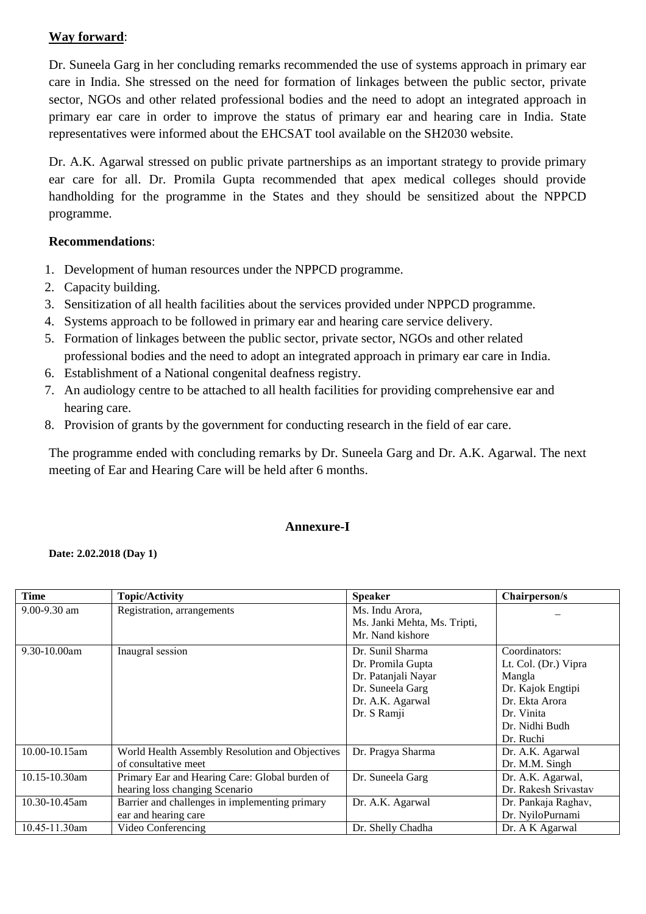## **Way forward**:

Dr. Suneela Garg in her concluding remarks recommended the use of systems approach in primary ear care in India. She stressed on the need for formation of linkages between the public sector, private sector, NGOs and other related professional bodies and the need to adopt an integrated approach in primary ear care in order to improve the status of primary ear and hearing care in India. State representatives were informed about the EHCSAT tool available on the SH2030 website.

Dr. A.K. Agarwal stressed on public private partnerships as an important strategy to provide primary ear care for all. Dr. Promila Gupta recommended that apex medical colleges should provide handholding for the programme in the States and they should be sensitized about the NPPCD programme.

### **Recommendations**:

- 1. Development of human resources under the NPPCD programme.
- 2. Capacity building.
- 3. Sensitization of all health facilities about the services provided under NPPCD programme.
- 4. Systems approach to be followed in primary ear and hearing care service delivery.
- 5. Formation of linkages between the public sector, private sector, NGOs and other related professional bodies and the need to adopt an integrated approach in primary ear care in India.
- 6. Establishment of a National congenital deafness registry.
- 7. An audiology centre to be attached to all health facilities for providing comprehensive ear and hearing care.
- 8. Provision of grants by the government for conducting research in the field of ear care.

The programme ended with concluding remarks by Dr. Suneela Garg and Dr. A.K. Agarwal. The next meeting of Ear and Hearing Care will be held after 6 months.

## **Annexure-I**

#### **Date: 2.02.2018 (Day 1)**

| Time          | <b>Topic/Activity</b>                                                            | <b>Speaker</b>                                                                                                      | Chairperson/s                                                                                                                       |
|---------------|----------------------------------------------------------------------------------|---------------------------------------------------------------------------------------------------------------------|-------------------------------------------------------------------------------------------------------------------------------------|
| 9.00-9.30 am  | Registration, arrangements                                                       | Ms. Indu Arora,<br>Ms. Janki Mehta, Ms. Tripti,<br>Mr. Nand kishore                                                 |                                                                                                                                     |
| 9.30-10.00am  | Inaugral session                                                                 | Dr. Sunil Sharma<br>Dr. Promila Gupta<br>Dr. Patanjali Nayar<br>Dr. Suneela Garg<br>Dr. A.K. Agarwal<br>Dr. S Ramji | Coordinators:<br>Lt. Col. (Dr.) Vipra<br>Mangla<br>Dr. Kajok Engtipi<br>Dr. Ekta Arora<br>Dr. Vinita<br>Dr. Nidhi Budh<br>Dr. Ruchi |
| 10.00-10.15am | World Health Assembly Resolution and Objectives<br>of consultative meet          | Dr. Pragya Sharma                                                                                                   | Dr. A.K. Agarwal<br>Dr. M.M. Singh                                                                                                  |
| 10.15-10.30am | Primary Ear and Hearing Care: Global burden of<br>hearing loss changing Scenario | Dr. Suneela Garg                                                                                                    | Dr. A.K. Agarwal,<br>Dr. Rakesh Srivastav                                                                                           |
| 10.30-10.45am | Barrier and challenges in implementing primary<br>ear and hearing care           | Dr. A.K. Agarwal                                                                                                    | Dr. Pankaja Raghav,<br>Dr. NyiloPurnami                                                                                             |
| 10.45-11.30am | Video Conferencing                                                               | Dr. Shelly Chadha                                                                                                   | Dr. A K Agarwal                                                                                                                     |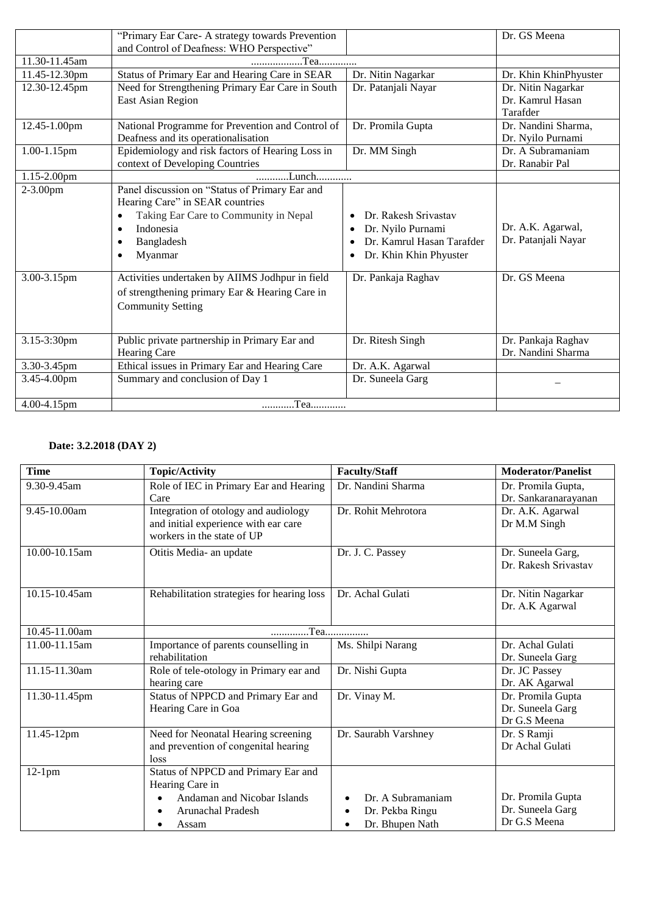|               | "Primary Ear Care- A strategy towards Prevention<br>and Control of Deafness: WHO Perspective"                                                                    |                                                                                                                                 | Dr. GS Meena                                       |
|---------------|------------------------------------------------------------------------------------------------------------------------------------------------------------------|---------------------------------------------------------------------------------------------------------------------------------|----------------------------------------------------|
| 11.30-11.45am | Tea                                                                                                                                                              |                                                                                                                                 |                                                    |
| 11.45-12.30pm | Status of Primary Ear and Hearing Care in SEAR                                                                                                                   | Dr. Nitin Nagarkar                                                                                                              | Dr. Khin KhinPhyuster                              |
| 12.30-12.45pm | Need for Strengthening Primary Ear Care in South<br>East Asian Region                                                                                            | Dr. Patanjali Nayar                                                                                                             | Dr. Nitin Nagarkar<br>Dr. Kamrul Hasan<br>Tarafder |
| 12.45-1.00pm  | National Programme for Prevention and Control of<br>Deafness and its operationalisation                                                                          | Dr. Promila Gupta                                                                                                               | Dr. Nandini Sharma,<br>Dr. Nyilo Purnami           |
| 1.00-1.15pm   | Epidemiology and risk factors of Hearing Loss in<br>context of Developing Countries                                                                              | Dr. MM Singh                                                                                                                    | Dr. A Subramaniam<br>Dr. Ranabir Pal               |
| 1.15-2.00pm   | Lunch                                                                                                                                                            |                                                                                                                                 |                                                    |
| $2 - 3.00$ pm | Panel discussion on "Status of Primary Ear and<br>Hearing Care" in SEAR countries<br>Taking Ear Care to Community in Nepal<br>Indonesia<br>Bangladesh<br>Myanmar | Dr. Rakesh Srivastav<br>$\bullet$<br>Dr. Nyilo Purnami<br>Dr. Kamrul Hasan Tarafder<br>$\bullet$<br>Dr. Khin Khin Phyuster<br>6 | Dr. A.K. Agarwal,<br>Dr. Patanjali Nayar           |
| 3.00-3.15pm   | Activities undertaken by AIIMS Jodhpur in field<br>of strengthening primary Ear & Hearing Care in<br><b>Community Setting</b>                                    | Dr. Pankaja Raghav                                                                                                              | Dr. GS Meena                                       |
| 3.15-3:30pm   | Public private partnership in Primary Ear and<br>Hearing Care                                                                                                    | Dr. Ritesh Singh                                                                                                                | Dr. Pankaja Raghav<br>Dr. Nandini Sharma           |
| 3.30-3.45pm   | Ethical issues in Primary Ear and Hearing Care                                                                                                                   | Dr. A.K. Agarwal                                                                                                                |                                                    |
| 3.45-4.00pm   | Summary and conclusion of Day 1                                                                                                                                  | Dr. Suneela Garg                                                                                                                |                                                    |
| 4.00-4.15pm   | Tea                                                                                                                                                              |                                                                                                                                 |                                                    |

#### **Date: 3.2.2018 (DAY 2)**

| <b>Time</b>       | <b>Topic/Activity</b>                                  | <b>Faculty/Staff</b>         | <b>Moderator/Panelist</b> |
|-------------------|--------------------------------------------------------|------------------------------|---------------------------|
| 9.30-9.45am       | Role of IEC in Primary Ear and Hearing                 | Dr. Nandini Sharma           | Dr. Promila Gupta,        |
|                   | Care                                                   |                              | Dr. Sankaranarayanan      |
| $9.45 - 10.00$ am | Integration of otology and audiology                   | Dr. Rohit Mehrotora          | Dr. A.K. Agarwal          |
|                   | and initial experience with ear care                   |                              | Dr M.M Singh              |
|                   | workers in the state of UP                             |                              |                           |
| 10.00-10.15am     | Otitis Media- an update                                | Dr. J. C. Passey             | Dr. Suneela Garg,         |
|                   |                                                        |                              | Dr. Rakesh Srivastav      |
| 10.15-10.45am     | Rehabilitation strategies for hearing loss             | Dr. Achal Gulati             | Dr. Nitin Nagarkar        |
|                   |                                                        |                              | Dr. A.K Agarwal           |
|                   |                                                        |                              |                           |
| 10.45-11.00am     | Tea                                                    |                              |                           |
| 11.00-11.15am     | Importance of parents counselling in                   | Ms. Shilpi Narang            | Dr. Achal Gulati          |
|                   | rehabilitation                                         |                              | Dr. Suneela Garg          |
| 11.15-11.30am     | Role of tele-otology in Primary ear and                | Dr. Nishi Gupta              | Dr. JC Passey             |
|                   | hearing care                                           |                              | Dr. AK Agarwal            |
| 11.30-11.45pm     | Status of NPPCD and Primary Ear and                    | Dr. Vinay M.                 | Dr. Promila Gupta         |
|                   | Hearing Care in Goa                                    |                              | Dr. Suneela Garg          |
|                   |                                                        |                              | Dr G.S Meena              |
| 11.45-12pm        | Need for Neonatal Hearing screening                    | Dr. Saurabh Varshney         | Dr. S Ramji               |
|                   | and prevention of congenital hearing                   |                              | Dr Achal Gulati           |
|                   | loss                                                   |                              |                           |
| $12-1$ pm         | Status of NPPCD and Primary Ear and<br>Hearing Care in |                              |                           |
|                   | Andaman and Nicobar Islands                            | Dr. A Subramaniam            | Dr. Promila Gupta         |
|                   | Arunachal Pradesh                                      | Dr. Pekba Ringu              | Dr. Suneela Garg          |
|                   |                                                        | $\bullet$                    | Dr G.S Meena              |
|                   | Assam                                                  | Dr. Bhupen Nath<br>$\bullet$ |                           |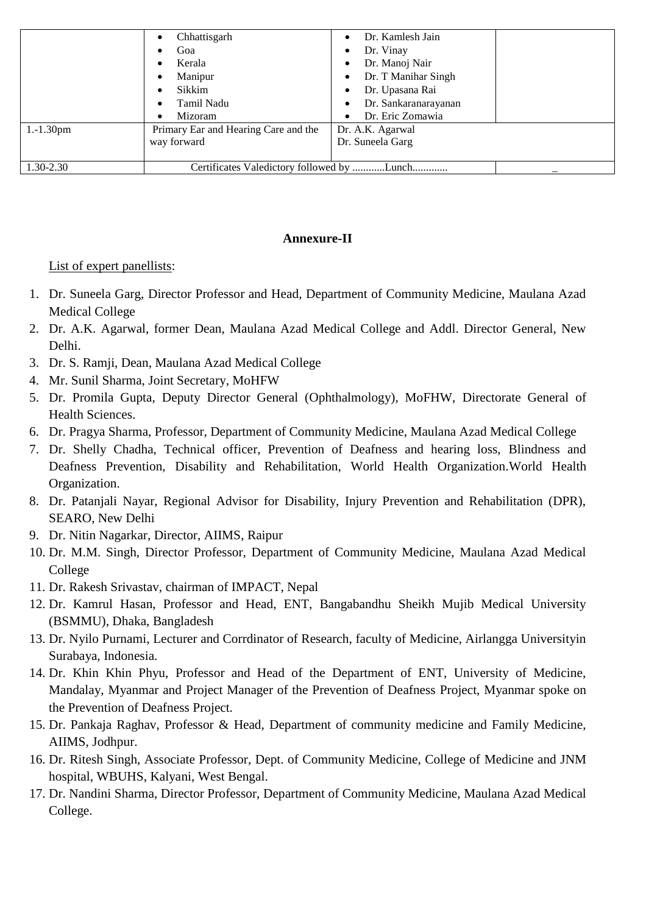|              | Chhattisgarh<br>$\bullet$            | Dr. Kamlesh Jain          |
|--------------|--------------------------------------|---------------------------|
|              | Goa                                  | Dr. Vinay<br>٠            |
|              | Kerala<br>٠                          | Dr. Manoj Nair            |
|              | Manipur<br>٠                         | Dr. T Manihar Singh<br>٠  |
|              | Sikkim<br>٠                          | Dr. Upasana Rai           |
|              | Tamil Nadu<br>٠                      | Dr. Sankaranarayanan<br>٠ |
|              | Mizoram<br>$\bullet$                 | Dr. Eric Zomawia<br>٠     |
| $1.-1.30$ pm | Primary Ear and Hearing Care and the | Dr. A.K. Agarwal          |
|              | way forward                          | Dr. Suneela Garg          |
|              |                                      |                           |
| 1.30-2.30    |                                      |                           |

### **Annexure-II**

### List of expert panellists:

- 1. Dr. Suneela Garg, Director Professor and Head, Department of Community Medicine, Maulana Azad Medical College
- 2. Dr. A.K. Agarwal, former Dean, Maulana Azad Medical College and Addl. Director General, New Delhi.
- 3. Dr. S. Ramji, Dean, Maulana Azad Medical College
- 4. Mr. Sunil Sharma, Joint Secretary, MoHFW
- 5. Dr. Promila Gupta, Deputy Director General (Ophthalmology), MoFHW, Directorate General of Health Sciences.
- 6. Dr. Pragya Sharma, Professor, Department of Community Medicine, Maulana Azad Medical College
- 7. Dr. Shelly Chadha, Technical officer, Prevention of Deafness and hearing loss, Blindness and Deafness Prevention, Disability and Rehabilitation, World Health Organization.World Health Organization.
- 8. Dr. Patanjali Nayar, Regional Advisor for Disability, Injury Prevention and Rehabilitation (DPR), SEARO, New Delhi
- 9. Dr. Nitin Nagarkar, Director, AIIMS, Raipur
- 10. Dr. M.M. Singh, Director Professor, Department of Community Medicine, Maulana Azad Medical College
- 11. Dr. Rakesh Srivastav, chairman of IMPACT, Nepal
- 12. Dr. Kamrul Hasan, Professor and Head, ENT, Bangabandhu Sheikh Mujib Medical University (BSMMU), Dhaka, Bangladesh
- 13. Dr. Nyilo Purnami, Lecturer and Corrdinator of Research, faculty of Medicine, Airlangga Universityin Surabaya, Indonesia.
- 14. Dr. Khin Khin Phyu, Professor and Head of the Department of ENT, University of Medicine, Mandalay, Myanmar and Project Manager of the Prevention of Deafness Project, Myanmar spoke on the Prevention of Deafness Project.
- 15. Dr. Pankaja Raghav, Professor & Head, Department of community medicine and Family Medicine, AIIMS, Jodhpur.
- 16. Dr. Ritesh Singh, Associate Professor, Dept. of Community Medicine, College of Medicine and JNM hospital, WBUHS, Kalyani, West Bengal.
- 17. Dr. Nandini Sharma, Director Professor, Department of Community Medicine, Maulana Azad Medical College.